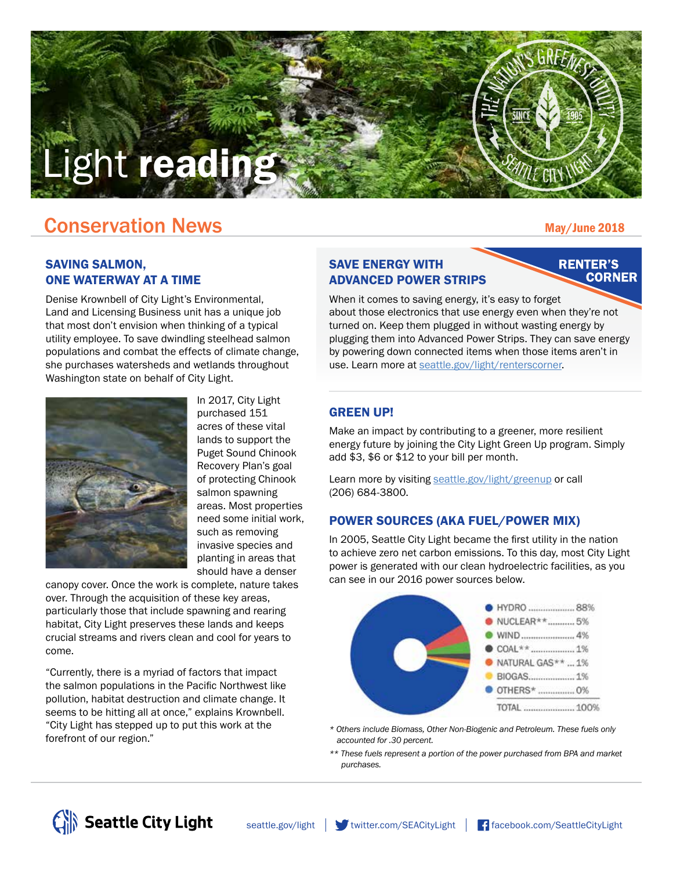# Light reading

# **Conservation News** May/June 2018

### SAVING SALMON, ONE WATERWAY AT A TIME

Denise Krownbell of City Light's Environmental, Land and Licensing Business unit has a unique job that most don't envision when thinking of a typical utility employee. To save dwindling steelhead salmon populations and combat the effects of climate change, she purchases watersheds and wetlands throughout Washington state on behalf of City Light.



In 2017, City Light purchased 151 acres of these vital lands to support the Puget Sound Chinook Recovery Plan's goal of protecting Chinook salmon spawning areas. Most properties need some initial work, such as removing invasive species and planting in areas that should have a denser

canopy cover. Once the work is complete, nature takes over. Through the acquisition of these key areas, particularly those that include spawning and rearing habitat, City Light preserves these lands and keeps crucial streams and rivers clean and cool for years to come.

"Currently, there is a myriad of factors that impact the salmon populations in the Pacific Northwest like pollution, habitat destruction and climate change. It seems to be hitting all at once," explains Krownbell. "City Light has stepped up to put this work at the forefront of our region."

### SAVE ENERGY WITH ADVANCED POWER STRIPS

**RENTER'S CORNER** 

When it comes to saving energy, it's easy to forget about those electronics that use energy even when they're not turned on. Keep them plugged in without wasting energy by plugging them into Advanced Power Strips. They can save energy by powering down connected items when those items aren't in use. Learn more at seattle.gov/light/renterscorner.

### GREEN UP!

Make an impact by contributing to a greener, more resilient energy future by joining the City Light Green Up program. Simply add \$3, \$6 or \$12 to your bill per month.

Learn more by visiting seattle.gov/light/greenup or call (206) 684-3800.

## POWER SOURCES (AKA FUEL/POWER MIX)

In 2005, Seattle City Light became the first utility in the nation to achieve zero net carbon emissions. To this day, most City Light power is generated with our clean hydroelectric facilities, as you can see in our 2016 power sources below.



- *\* Others include Biomass, Other Non-Biogenic and Petroleum. These fuels only accounted for .30 percent.*
- *\*\* These fuels represent a portion of the power purchased from BPA and market purchases.*